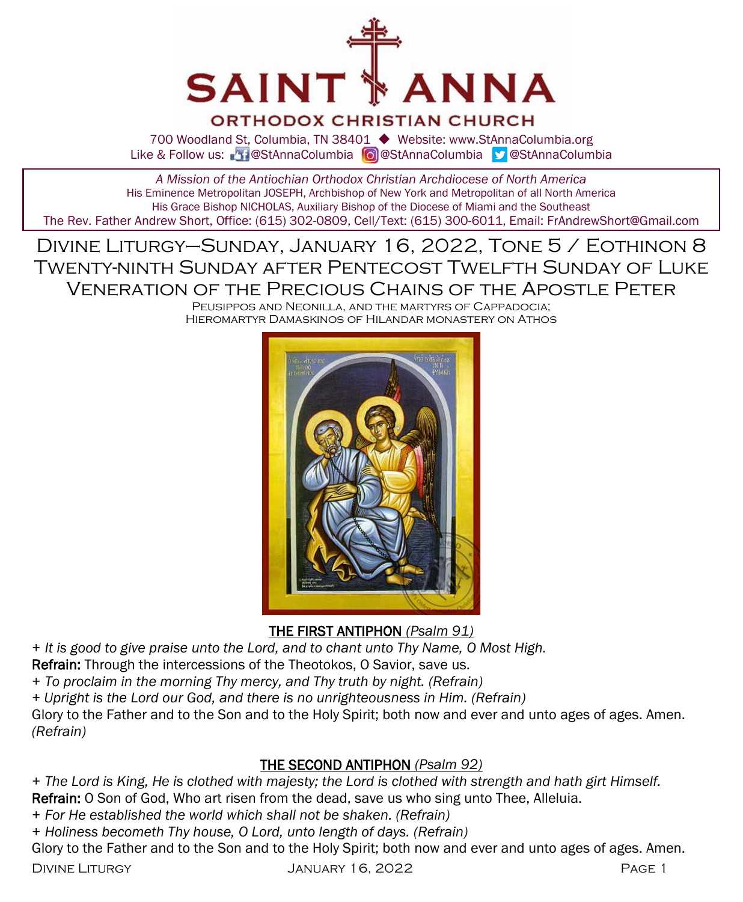

# **ORTHODOX CHRISTIAN CHURCH**

700 Woodland St, Columbia, TN 38401 ◆ Website: www.StAnnaColumbia.org Like & Follow us: 20 @StAnnaColumbia **@**StAnnaColumbia **@StAnnaColumbia** 

*A Mission of the Antiochian Orthodox Christian Archdiocese of North America* His Eminence Metropolitan JOSEPH, Archbishop of New York and Metropolitan of all North America His Grace Bishop NICHOLAS, Auxiliary Bishop of the Diocese of Miami and the Southeast

The Rev. Father Andrew Short, Office: (615) 302-0809, Cell/Text: (615) 300-6011, Email: FrAndrewShort@Gmail.com

Divine Liturgy–Sunday, January 16, 2022, Tone 5 / Eothinon 8 Twenty-ninth Sunday after Pentecost Twelfth Sunday of Luke Veneration of the Precious Chains of the Apostle Peter

Peusippos and Neonilla, and the martyrs of Cappadocia; Hieromartyr Damaskinos of Hilandar monastery on Athos



THE FIRST ANTIPHON *(Psalm 91)*

*+ It is good to give praise unto the Lord, and to chant unto Thy Name, O Most High.*

Refrain: Through the intercessions of the Theotokos, O Savior, save us.

*+ To proclaim in the morning Thy mercy, and Thy truth by night. (Refrain)*

*+ Upright is the Lord our God, and there is no unrighteousness in Him. (Refrain)*

Glory to the Father and to the Son and to the Holy Spirit; both now and ever and unto ages of ages. Amen. *(Refrain)*

# THE SECOND ANTIPHON *(Psalm 92)*

*+ The Lord is King, He is clothed with majesty; the Lord is clothed with strength and hath girt Himself.*

Refrain: O Son of God, Who art risen from the dead, save us who sing unto Thee, Alleluia.

*+ For He established the world which shall not be shaken. (Refrain)*

*+ Holiness becometh Thy house, O Lord, unto length of days. (Refrain)*

Glory to the Father and to the Son and to the Holy Spirit; both now and ever and unto ages of ages. Amen.

Divine Liturgy January 16, 2022 Page 1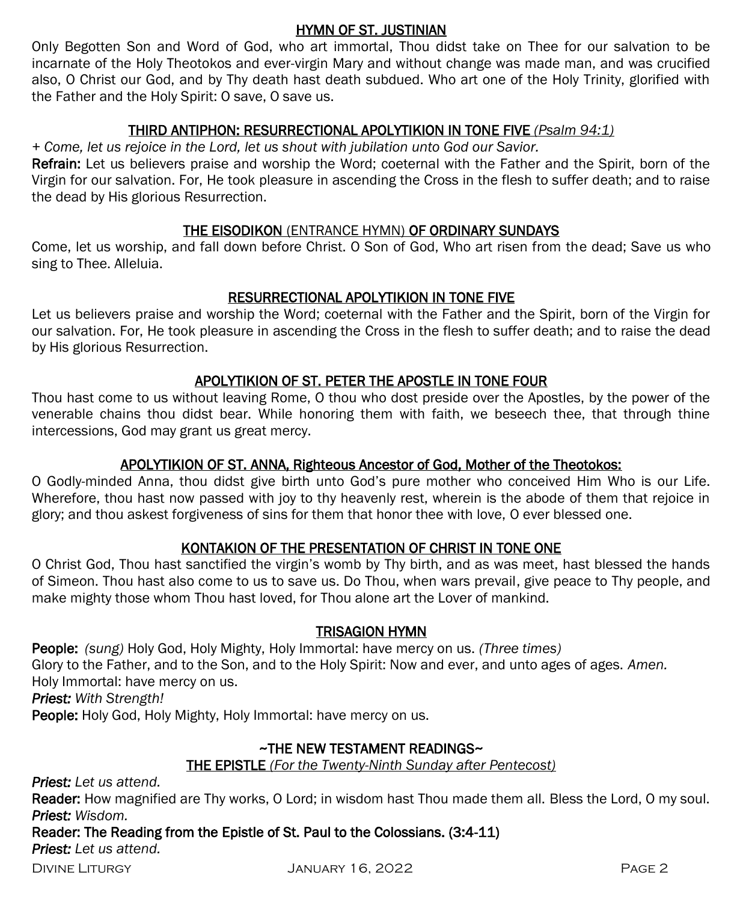# HYMN OF ST. JUSTINIAN

Only Begotten Son and Word of God, who art immortal, Thou didst take on Thee for our salvation to be incarnate of the Holy Theotokos and ever-virgin Mary and without change was made man, and was crucified also, O Christ our God, and by Thy death hast death subdued. Who art one of the Holy Trinity, glorified with the Father and the Holy Spirit: O save, O save us.

# THIRD ANTIPHON: RESURRECTIONAL APOLYTIKION IN TONE FIVE *(Psalm 94:1)*

*+ Come, let us rejoice in the Lord, let us shout with jubilation unto God our Savior.* 

Refrain: Let us believers praise and worship the Word; coeternal with the Father and the Spirit, born of the Virgin for our salvation. For, He took pleasure in ascending the Cross in the flesh to suffer death; and to raise the dead by His glorious Resurrection.

# THE EISODIKON (ENTRANCE HYMN) OF ORDINARY SUNDAYS

Come, let us worship, and fall down before Christ. O Son of God, Who art risen from the dead; Save us who sing to Thee. Alleluia.

# RESURRECTIONAL APOLYTIKION IN TONE FIVE

Let us believers praise and worship the Word; coeternal with the Father and the Spirit, born of the Virgin for our salvation. For, He took pleasure in ascending the Cross in the flesh to suffer death; and to raise the dead by His glorious Resurrection.

# APOLYTIKION OF ST. PETER THE APOSTLE IN TONE FOUR

Thou hast come to us without leaving Rome, O thou who dost preside over the Apostles, by the power of the venerable chains thou didst bear. While honoring them with faith, we beseech thee, that through thine intercessions, God may grant us great mercy.

# APOLYTIKION OF ST. ANNA, Righteous Ancestor of God, Mother of the Theotokos:

O Godly-minded Anna, thou didst give birth unto God's pure mother who conceived Him Who is our Life. Wherefore, thou hast now passed with joy to thy heavenly rest, wherein is the abode of them that rejoice in glory; and thou askest forgiveness of sins for them that honor thee with love, O ever blessed one.

# KONTAKION OF THE PRESENTATION OF CHRIST IN TONE ONE

O Christ God, Thou hast sanctified the virgin's womb by Thy birth, and as was meet, hast blessed the hands of Simeon. Thou hast also come to us to save us. Do Thou, when wars prevail, give peace to Thy people, and make mighty those whom Thou hast loved, for Thou alone art the Lover of mankind.

# TRISAGION HYMN

People: *(sung)* Holy God, Holy Mighty, Holy Immortal: have mercy on us. *(Three times)*  Glory to the Father, and to the Son, and to the Holy Spirit: Now and ever, and unto ages of ages. *Amen.*  Holy Immortal: have mercy on us. *Priest: With Strength!*

People: Holy God, Holy Mighty, Holy Immortal: have mercy on us.

# ~THE NEW TESTAMENT READINGS~

THE EPISTLE *(For the Twenty-Ninth Sunday after Pentecost)* 

*Priest: Let us attend.*

Reader: How magnified are Thy works, O Lord; in wisdom hast Thou made them all. Bless the Lord, O my soul. *Priest: Wisdom.*

Reader: The Reading from the Epistle of St. Paul to the Colossians. (3:4-11)

*Priest: Let us attend.*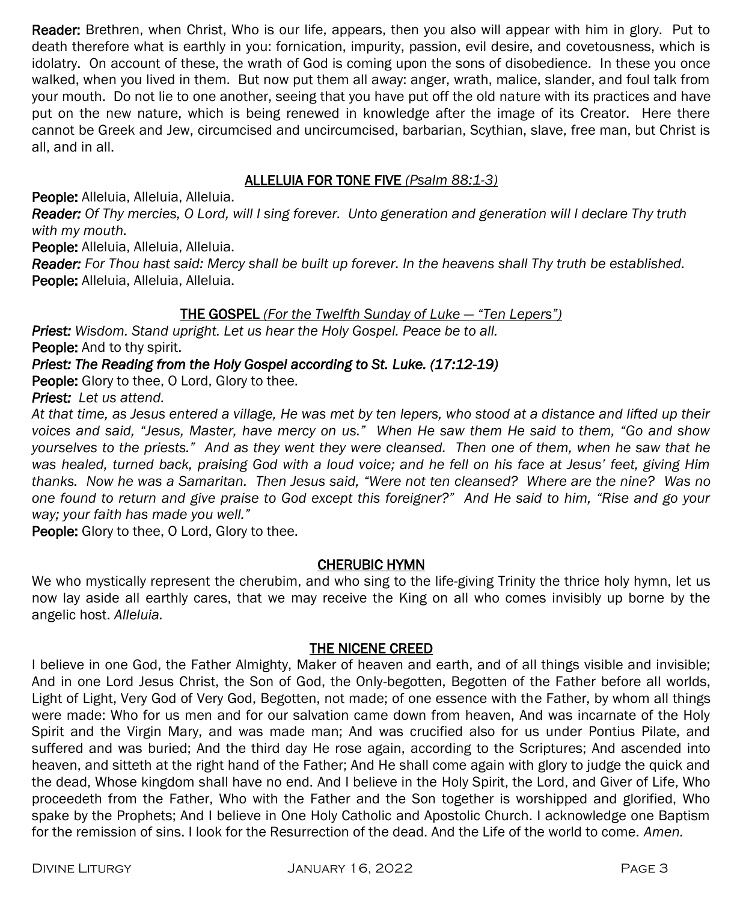Reader: Brethren, when Christ, Who is our life, appears, then you also will appear with him in glory. Put to death therefore what is earthly in you: fornication, impurity, passion, evil desire, and covetousness, which is idolatry. On account of these, the wrath of God is coming upon the sons of disobedience. In these you once walked, when you lived in them. But now put them all away: anger, wrath, malice, slander, and foul talk from your mouth. Do not lie to one another, seeing that you have put off the old nature with its practices and have put on the new nature, which is being renewed in knowledge after the image of its Creator. Here there cannot be Greek and Jew, circumcised and uncircumcised, barbarian, Scythian, slave, free man, but Christ is all, and in all.

# ALLELUIA FOR TONE FIVE *(Psalm 88:1-3)*

People: Alleluia, Alleluia, Alleluia.

*Reader: Of Thy mercies, O Lord, will I sing forever. Unto generation and generation will I declare Thy truth with my mouth.*

People: Alleluia, Alleluia, Alleluia.

*Reader: For Thou hast said: Mercy shall be built up forever. In the heavens shall Thy truth be established.* People: Alleluia, Alleluia, Alleluia.

# THE GOSPEL *(For the Twelfth Sunday of Luke — "Ten Lepers")*

*Priest: Wisdom. Stand upright. Let us hear the Holy Gospel. Peace be to all.*

People: And to thy spirit.

### *Priest: The Reading from the Holy Gospel according to St. Luke. (17:12-19)*

**People:** Glory to thee, O Lord, Glory to thee.

*Priest: Let us attend.* 

*At that time, as Jesus entered a village, He was met by ten lepers, who stood at a distance and lifted up their voices and said, "Jesus, Master, have mercy on us." When He saw them He said to them, "Go and show yourselves to the priests." And as they went they were cleansed. Then one of them, when he saw that he was healed, turned back, praising God with a loud voice; and he fell on his face at Jesus' feet, giving Him thanks. Now he was a Samaritan. Then Jesus said, "Were not ten cleansed? Where are the nine? Was no one found to return and give praise to God except this foreigner?" And He said to him, "Rise and go your way; your faith has made you well."*

People: Glory to thee, O Lord, Glory to thee.

### CHERUBIC HYMN

We who mystically represent the cherubim, and who sing to the life-giving Trinity the thrice holy hymn, let us now lay aside all earthly cares, that we may receive the King on all who comes invisibly up borne by the angelic host. *Alleluia.*

#### THE NICENE CREED

I believe in one God, the Father Almighty, Maker of heaven and earth, and of all things visible and invisible; And in one Lord Jesus Christ, the Son of God, the Only-begotten, Begotten of the Father before all worlds, Light of Light, Very God of Very God, Begotten, not made; of one essence with the Father, by whom all things were made: Who for us men and for our salvation came down from heaven, And was incarnate of the Holy Spirit and the Virgin Mary, and was made man; And was crucified also for us under Pontius Pilate, and suffered and was buried; And the third day He rose again, according to the Scriptures; And ascended into heaven, and sitteth at the right hand of the Father; And He shall come again with glory to judge the quick and the dead, Whose kingdom shall have no end. And I believe in the Holy Spirit, the Lord, and Giver of Life, Who proceedeth from the Father, Who with the Father and the Son together is worshipped and glorified, Who spake by the Prophets; And I believe in One Holy Catholic and Apostolic Church. I acknowledge one Baptism for the remission of sins. I look for the Resurrection of the dead. And the Life of the world to come. *Amen.*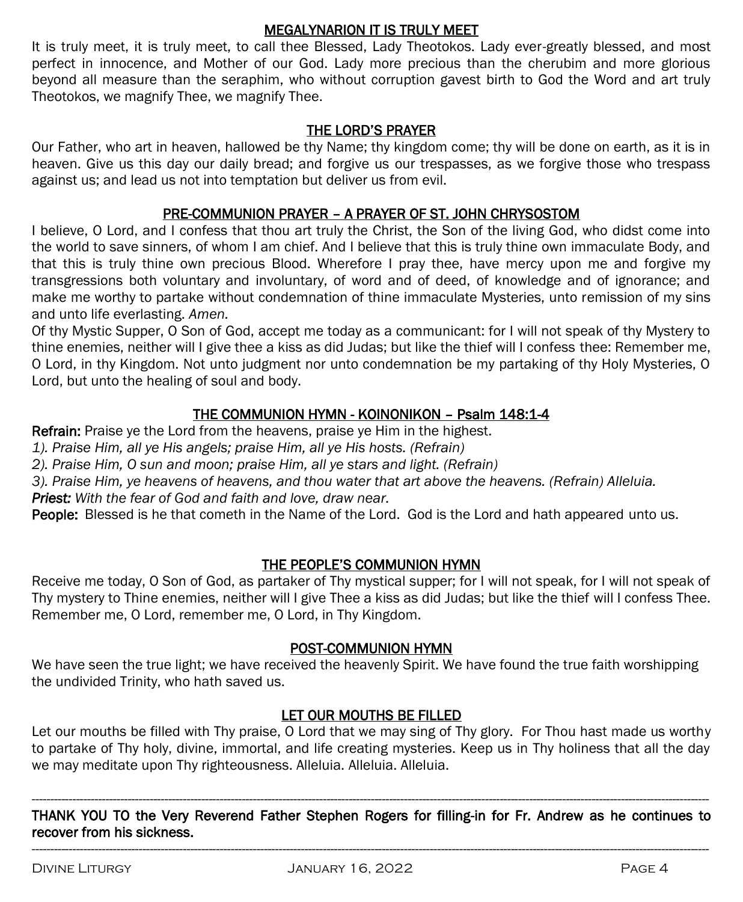### MEGALYNARION IT IS TRULY MEET

It is truly meet, it is truly meet, to call thee Blessed, Lady Theotokos. Lady ever-greatly blessed, and most perfect in innocence, and Mother of our God. Lady more precious than the cherubim and more glorious beyond all measure than the seraphim, who without corruption gavest birth to God the Word and art truly Theotokos, we magnify Thee, we magnify Thee.

# THE LORD'S PRAYER

Our Father, who art in heaven, hallowed be thy Name; thy kingdom come; thy will be done on earth, as it is in heaven. Give us this day our daily bread; and forgive us our trespasses, as we forgive those who trespass against us; and lead us not into temptation but deliver us from evil.

# PRE-COMMUNION PRAYER – A PRAYER OF ST. JOHN CHRYSOSTOM

I believe, O Lord, and I confess that thou art truly the Christ, the Son of the living God, who didst come into the world to save sinners, of whom I am chief. And I believe that this is truly thine own immaculate Body, and that this is truly thine own precious Blood. Wherefore I pray thee, have mercy upon me and forgive my transgressions both voluntary and involuntary, of word and of deed, of knowledge and of ignorance; and make me worthy to partake without condemnation of thine immaculate Mysteries, unto remission of my sins and unto life everlasting. *Amen.*

Of thy Mystic Supper, O Son of God, accept me today as a communicant: for I will not speak of thy Mystery to thine enemies, neither will I give thee a kiss as did Judas; but like the thief will I confess thee: Remember me, O Lord, in thy Kingdom. Not unto judgment nor unto condemnation be my partaking of thy Holy Mysteries, O Lord, but unto the healing of soul and body.

# THE COMMUNION HYMN - KOINONIKON – Psalm 148:1-4

Refrain: Praise ye the Lord from the heavens, praise ye Him in the highest.

*1). Praise Him, all ye His angels; praise Him, all ye His hosts. (Refrain)*

*2). Praise Him, O sun and moon; praise Him, all ye stars and light. (Refrain)*

*3). Praise Him, ye heavens of heavens, and thou water that art above the heavens. (Refrain) Alleluia.* 

*Priest: With the fear of God and faith and love, draw near.*

People: Blessed is he that cometh in the Name of the Lord. God is the Lord and hath appeared unto us.

# THE PEOPLE'S COMMUNION HYMN

Receive me today, O Son of God, as partaker of Thy mystical supper; for I will not speak, for I will not speak of Thy mystery to Thine enemies, neither will I give Thee a kiss as did Judas; but like the thief will I confess Thee. Remember me, O Lord, remember me, O Lord, in Thy Kingdom.

# POST-COMMUNION HYMN

We have seen the true light; we have received the heavenly Spirit. We have found the true faith worshipping the undivided Trinity, who hath saved us.

# LET OUR MOUTHS BE FILLED

Let our mouths be filled with Thy praise, O Lord that we may sing of Thy glory. For Thou hast made us worthy to partake of Thy holy, divine, immortal, and life creating mysteries. Keep us in Thy holiness that all the day we may meditate upon Thy righteousness. Alleluia. Alleluia. Alleluia.

---------------------------------------------------------------------------------------------------------------------------------------------------------------------------------------- THANK YOU TO the Very Reverend Father Stephen Rogers for filling-in for Fr. Andrew as he continues to recover from his sickness. ----------------------------------------------------------------------------------------------------------------------------------------------------------------------------------------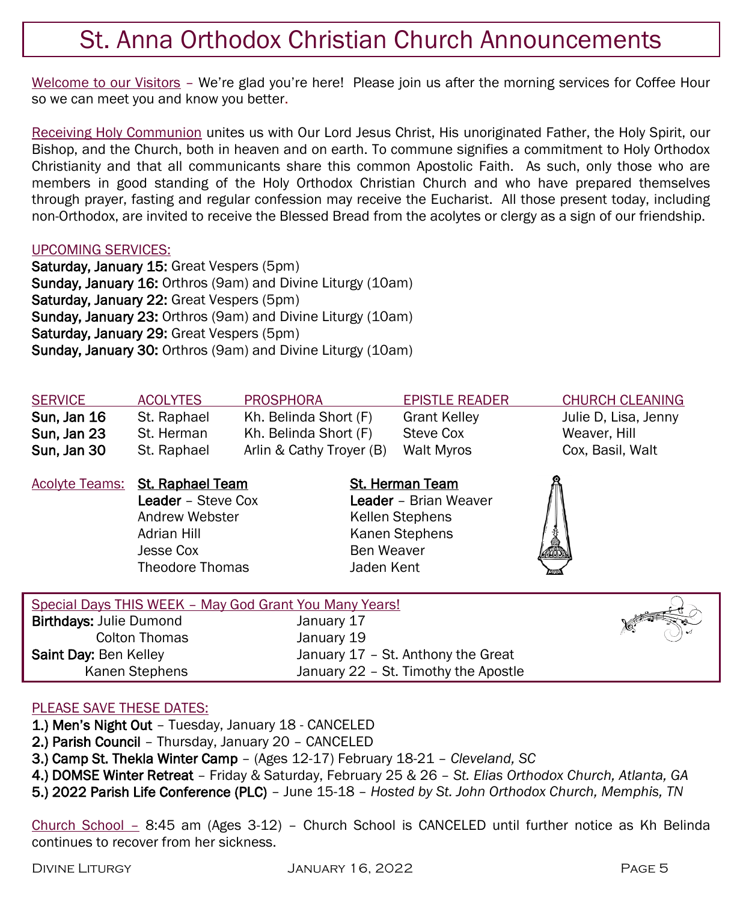# St. Anna Orthodox Christian Church Announcements

Welcome to our Visitors - We're glad you're here! Please join us after the morning services for Coffee Hour so we can meet you and know you better.

Receiving Holy Communion unites us with Our Lord Jesus Christ, His unoriginated Father, the Holy Spirit, our Bishop, and the Church, both in heaven and on earth. To commune signifies a commitment to Holy Orthodox Christianity and that all communicants share this common Apostolic Faith. As such, only those who are members in good standing of the Holy Orthodox Christian Church and who have prepared themselves through prayer, fasting and regular confession may receive the Eucharist. All those present today, including non-Orthodox, are invited to receive the Blessed Bread from the acolytes or clergy as a sign of our friendship.

#### UPCOMING SERVICES:

Saturday, January 15: Great Vespers (5pm) Sunday, January 16: Orthros (9am) and Divine Liturgy (10am) Saturday, January 22: Great Vespers (5pm) Sunday, January 23: Orthros (9am) and Divine Liturgy (10am) Saturday, January 29: Great Vespers (5pm) Sunday, January 30: Orthros (9am) and Divine Liturgy (10am)

| <b>SERVICE</b><br><b>ACOLYTES</b> | PROSPHORA                | <b>EPISTLE READER</b> | <b>CHURCH CLEANING</b> |
|-----------------------------------|--------------------------|-----------------------|------------------------|
| Sun, Jan 16<br>St. Raphael        | Kh. Belinda Short (F)    | <b>Grant Kelley</b>   | Julie D, Lisa, Jenny   |
| Sun, Jan 23<br>St. Herman         | Kh. Belinda Short (F)    | Steve Cox             | Weaver, Hill           |
| Sun. Jan 30<br>St. Raphael        | Arlin & Cathy Trover (B) | Walt Mvros            | Cox, Basil, Walt       |

Acolyte Teams: St. Raphael Team St. Herman Team Andrew Webster **Kellen Stephens** Adrian Hill Kanen Stephens Jesse Cox Ben Weaver Theodore Thomas Jaden Kent

Leader – Steve Cox Leader – Brian Weaver



| Special Days THIS WEEK - May God Grant You Many Years! |                                      |  |
|--------------------------------------------------------|--------------------------------------|--|
| <b>Birthdays: Julie Dumond</b>                         | January 17                           |  |
| Colton Thomas                                          | January 19                           |  |
| Saint Day: Ben Kelley                                  | January 17 - St. Anthony the Great   |  |
| Kanen Stephens                                         | January 22 - St. Timothy the Apostle |  |
|                                                        |                                      |  |

# PLEASE SAVE THESE DATES:

1.) Men's Night Out – Tuesday, January 18 - CANCELED

2.) Parish Council – Thursday, January 20 – CANCELED

3.) Camp St. Thekla Winter Camp – (Ages 12-17) February 18-21 – *Cleveland, SC*

4.) DOMSE Winter Retreat – Friday & Saturday, February 25 & 26 – *St. Elias Orthodox Church, Atlanta, GA*

5.) 2022 Parish Life Conference (PLC) – June 15-18 – *Hosted by St. John Orthodox Church, Memphis, TN*

Church School – 8:45 am (Ages 3-12) – Church School is CANCELED until further notice as Kh Belinda continues to recover from her sickness.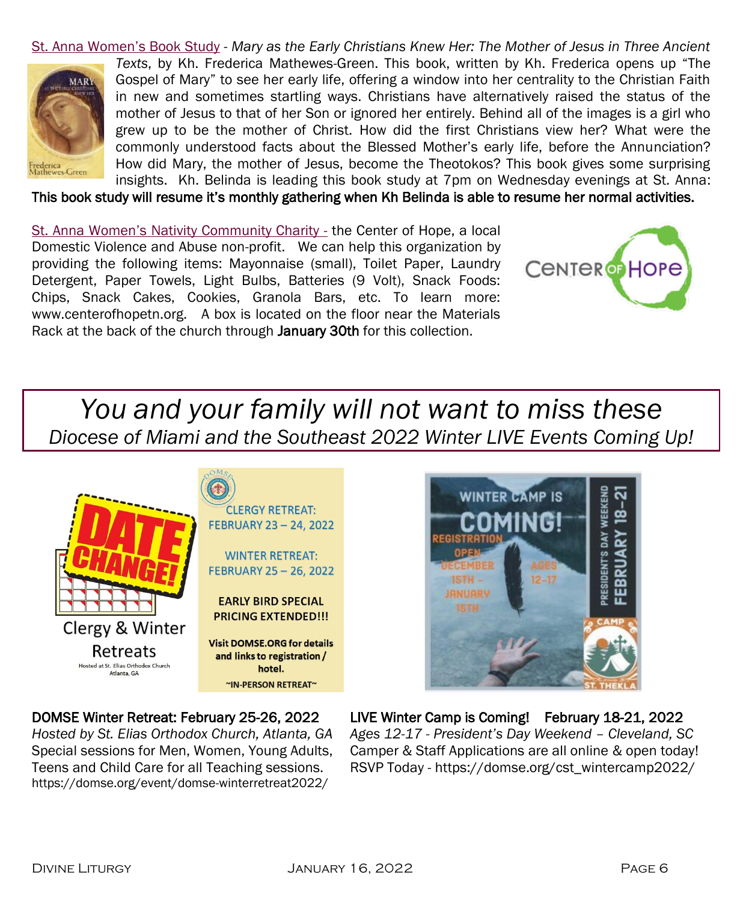St. Anna Women's Book Study - *Mary as the Early Christians Knew Her: The Mother of Jesus in Three Ancient Texts*, by Kh. Frederica Mathewes-Green. This book, written by Kh. Frederica opens up "The Gospel of Mary" to see her early life, offering a window into her centrality to the Christian Faith **MARY** in new and sometimes startling ways. Christians have alternatively raised the status of the mother of Jesus to that of her Son or ignored her entirely. Behind all of the images is a girl who grew up to be the mother of Christ. How did the first Christians view her? What were the commonly understood facts about the Blessed Mother's early life, before the Annunciation? How did Mary, the mother of Jesus, become the Theotokos? This book gives some surprising Frederica<br>Mathewes-Green insights. Kh. Belinda is leading this book study at 7pm on Wednesday evenings at St. Anna:

This book study will resume it's monthly gathering when Kh Belinda is able to resume her normal activities.

St. Anna Women's Nativity Community Charity - the Center of Hope, a local Domestic Violence and Abuse non-profit. We can help this organization by providing the following items: Mayonnaise (small), Toilet Paper, Laundry Detergent, Paper Towels, Light Bulbs, Batteries (9 Volt), Snack Foods: Chips, Snack Cakes, Cookies, Granola Bars, etc. To learn more: www.centerofhopetn.org. A box is located on the floor near the Materials Rack at the back of the church through January 30th for this collection.



*You and your family will not want to miss these Diocese of Miami and the Southeast 2022 Winter LIVE Events Coming Up!*





https://domse.org/event/domse-winterretreat2022/

DOMSE Winter Retreat: February 25-26, 2022 LIVE Winter Camp is Coming! February 18-21, 2022 *Hosted by St. Elias Orthodox Church, Atlanta, GA Ages 12-17 - President's Day Weekend – Cleveland, SC* Special sessions for Men, Women, Young Adults, Camper & Staff Applications are all online & open today! Teens and Child Care for all Teaching sessions. RSVP Today - https://domse.org/cst\_wintercamp2022/